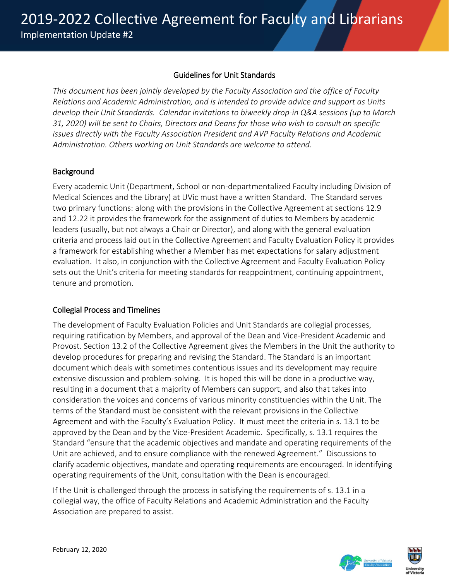### Guidelines for Unit Standards

*This document has been jointly developed by the Faculty Association and the office of Faculty Relations and Academic Administration, and is intended to provide advice and support as Units develop their Unit Standards. Calendar invitations to biweekly drop-in Q&A sessions (up to March 31, 2020) will be sent to Chairs, Directors and Deans for those who wish to consult on specific issues directly with the Faculty Association President and AVP Faculty Relations and Academic Administration. Others working on Unit Standards are welcome to attend.*

### **Background**

Every academic Unit (Department, School or non-departmentalized Faculty including Division of Medical Sciences and the Library) at UVic must have a written Standard. The Standard serves two primary functions: along with the provisions in the Collective Agreement at sections 12.9 and 12.22 it provides the framework for the assignment of duties to Members by academic leaders (usually, but not always a Chair or Director), and along with the general evaluation criteria and process laid out in the Collective Agreement and Faculty Evaluation Policy it provides a framework for establishing whether a Member has met expectations for salary adjustment evaluation. It also, in conjunction with the Collective Agreement and Faculty Evaluation Policy sets out the Unit's criteria for meeting standards for reappointment, continuing appointment, tenure and promotion.

### Collegial Process and Timelines

The development of Faculty Evaluation Policies and Unit Standards are collegial processes, requiring ratification by Members, and approval of the Dean and Vice-President Academic and Provost. Section 13.2 of the Collective Agreement gives the Members in the Unit the authority to develop procedures for preparing and revising the Standard. The Standard is an important document which deals with sometimes contentious issues and its development may require extensive discussion and problem-solving. It is hoped this will be done in a productive way, resulting in a document that a majority of Members can support, and also that takes into consideration the voices and concerns of various minority constituencies within the Unit. The terms of the Standard must be consistent with the relevant provisions in the Collective Agreement and with the Faculty's Evaluation Policy. It must meet the criteria in s. 13.1 to be approved by the Dean and by the Vice-President Academic. Specifically, s. 13.1 requires the Standard "ensure that the academic objectives and mandate and operating requirements of the Unit are achieved, and to ensure compliance with the renewed Agreement." Discussions to clarify academic objectives, mandate and operating requirements are encouraged. In identifying operating requirements of the Unit, consultation with the Dean is encouraged.

If the Unit is challenged through the process in satisfying the requirements of s. 13.1 in a collegial way, the office of Faculty Relations and Academic Administration and the Faculty Association are prepared to assist.

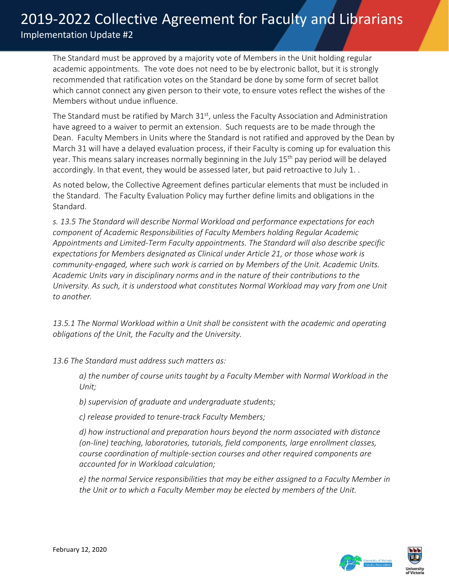The Standard must be approved by a majority vote of Members in the Unit holding regular academic appointments. The vote does not need to be by electronic ballot, but it is strongly recommended that ratification votes on the Standard be done by some form of secret ballot which cannot connect any given person to their vote, to ensure votes reflect the wishes of the Members without undue influence.

The Standard must be ratified by March  $31<sup>st</sup>$ , unless the Faculty Association and Administration have agreed to a waiver to permit an extension. Such requests are to be made through the Dean. Faculty Members in Units where the Standard is not ratified and approved by the Dean by March 31 will have a delayed evaluation process, if their Faculty is coming up for evaluation this year. This means salary increases normally beginning in the July 15<sup>th</sup> pay period will be delayed accordingly. In that event, they would be assessed later, but paid retroactive to July 1. .

As noted below, the Collective Agreement defines particular elements that must be included in the Standard. The Faculty Evaluation Policy may further define limits and obligations in the Standard.

*s. 13.5 The Standard will describe Normal Workload and performance expectations for each component of Academic Responsibilities of Faculty Members holding Regular Academic Appointments and Limited-Term Faculty appointments. The Standard will also describe specific expectations for Members designated as Clinical under Article 21, or those whose work is community-engaged, where such work is carried on by Members of the Unit. Academic Units. Academic Units vary in disciplinary norms and in the nature of their contributions to the University. As such, it is understood what constitutes Normal Workload may vary from one Unit to another.* 

*13.5.1 The Normal Workload within a Unit shall be consistent with the academic and operating obligations of the Unit, the Faculty and the University.*

*13.6 The Standard must address such matters as:*

*a) the number of course units taught by a Faculty Member with Normal Workload in the Unit;* 

*b) supervision of graduate and undergraduate students;* 

*c) release provided to tenure-track Faculty Members;* 

*d) how instructional and preparation hours beyond the norm associated with distance (on-line) teaching, laboratories, tutorials, field components, large enrollment classes, course coordination of multiple-section courses and other required components are accounted for in Workload calculation;* 

*e) the normal Service responsibilities that may be either assigned to a Faculty Member in the Unit or to which a Faculty Member may be elected by members of the Unit.*

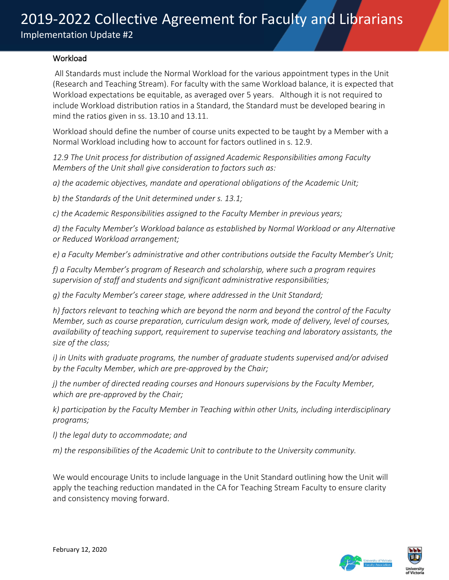#### **Workload**

All Standards must include the Normal Workload for the various appointment types in the Unit (Research and Teaching Stream). For faculty with the same Workload balance, it is expected that Workload expectations be equitable, as averaged over 5 years. Although it is not required to include Workload distribution ratios in a Standard, the Standard must be developed bearing in mind the ratios given in ss. 13.10 and 13.11.

Workload should define the number of course units expected to be taught by a Member with a Normal Workload including how to account for factors outlined in s. 12.9.

*12.9 The Unit process for distribution of assigned Academic Responsibilities among Faculty Members of the Unit shall give consideration to factors such as:* 

*a) the academic objectives, mandate and operational obligations of the Academic Unit;* 

*b) the Standards of the Unit determined under s. 13.1;* 

*c) the Academic Responsibilities assigned to the Faculty Member in previous years;* 

*d) the Faculty Member's Workload balance as established by Normal Workload or any Alternative or Reduced Workload arrangement;* 

*e) a Faculty Member's administrative and other contributions outside the Faculty Member's Unit;* 

*f) a Faculty Member's program of Research and scholarship, where such a program requires supervision of staff and students and significant administrative responsibilities;* 

*g) the Faculty Member's career stage, where addressed in the Unit Standard;* 

*h) factors relevant to teaching which are beyond the norm and beyond the control of the Faculty Member, such as course preparation, curriculum design work, mode of delivery, level of courses, availability of teaching support, requirement to supervise teaching and laboratory assistants, the size of the class;*

*i) in Units with graduate programs, the number of graduate students supervised and/or advised by the Faculty Member, which are pre-approved by the Chair;* 

*j) the number of directed reading courses and Honours supervisions by the Faculty Member, which are pre-approved by the Chair;* 

*k) participation by the Faculty Member in Teaching within other Units, including interdisciplinary programs;* 

*l) the legal duty to accommodate; and*

*m) the responsibilities of the Academic Unit to contribute to the University community.*

We would encourage Units to include language in the Unit Standard outlining how the Unit will apply the teaching reduction mandated in the CA for Teaching Stream Faculty to ensure clarity and consistency moving forward.

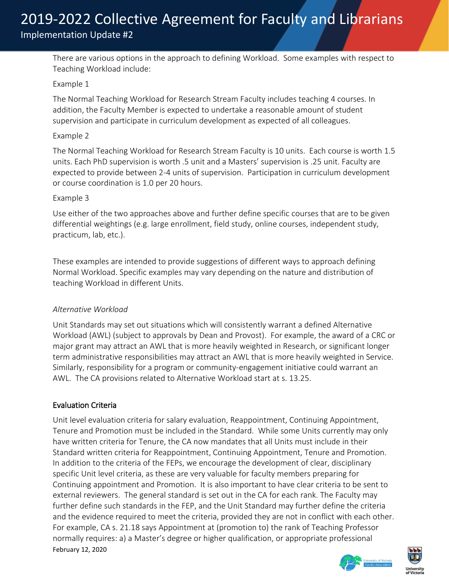There are various options in the approach to defining Workload. Some examples with respect to Teaching Workload include:

#### Example 1

The Normal Teaching Workload for Research Stream Faculty includes teaching 4 courses. In addition, the Faculty Member is expected to undertake a reasonable amount of student supervision and participate in curriculum development as expected of all colleagues.

#### Example 2

The Normal Teaching Workload for Research Stream Faculty is 10 units. Each course is worth 1.5 units. Each PhD supervision is worth .5 unit and a Masters' supervision is .25 unit. Faculty are expected to provide between 2-4 units of supervision. Participation in curriculum development or course coordination is 1.0 per 20 hours.

#### Example 3

Use either of the two approaches above and further define specific courses that are to be given differential weightings (e.g. large enrollment, field study, online courses, independent study, practicum, lab, etc.).

These examples are intended to provide suggestions of different ways to approach defining Normal Workload. Specific examples may vary depending on the nature and distribution of teaching Workload in different Units.

### *Alternative Workload*

Unit Standards may set out situations which will consistently warrant a defined Alternative Workload (AWL) (subject to approvals by Dean and Provost). For example, the award of a CRC or major grant may attract an AWL that is more heavily weighted in Research, or significant longer term administrative responsibilities may attract an AWL that is more heavily weighted in Service. Similarly, responsibility for a program or community-engagement initiative could warrant an AWL. The CA provisions related to Alternative Workload start at s. 13.25.

### Evaluation Criteria

February 12, 2020 Unit level evaluation criteria for salary evaluation, Reappointment, Continuing Appointment, Tenure and Promotion must be included in the Standard. While some Units currently may only have written criteria for Tenure, the CA now mandates that all Units must include in their Standard written criteria for Reappointment, Continuing Appointment, Tenure and Promotion. In addition to the criteria of the FEPs, we encourage the development of clear, disciplinary specific Unit level criteria, as these are very valuable for faculty members preparing for Continuing appointment and Promotion. It is also important to have clear criteria to be sent to external reviewers. The general standard is set out in the CA for each rank. The Faculty may further define such standards in the FEP, and the Unit Standard may further define the criteria and the evidence required to meet the criteria, provided they are not in conflict with each other. For example, CA s. 21.18 says Appointment at (promotion to) the rank of Teaching Professor normally requires: a) a Master's degree or higher qualification, or appropriate professional

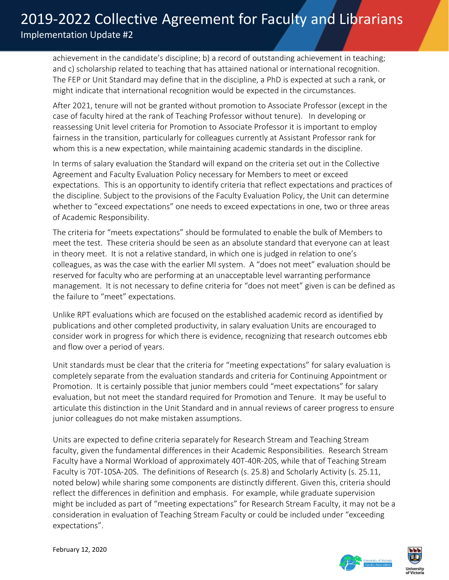achievement in the candidate's discipline; b) a record of outstanding achievement in teaching; and c) scholarship related to teaching that has attained national or international recognition. The FEP or Unit Standard may define that in the discipline, a PhD is expected at such a rank, or might indicate that international recognition would be expected in the circumstances.

After 2021, tenure will not be granted without promotion to Associate Professor (except in the case of faculty hired at the rank of Teaching Professor without tenure). In developing or reassessing Unit level criteria for Promotion to Associate Professor it is important to employ fairness in the transition, particularly for colleagues currently at Assistant Professor rank for whom this is a new expectation, while maintaining academic standards in the discipline.

In terms of salary evaluation the Standard will expand on the criteria set out in the Collective Agreement and Faculty Evaluation Policy necessary for Members to meet or exceed expectations. This is an opportunity to identify criteria that reflect expectations and practices of the discipline. Subject to the provisions of the Faculty Evaluation Policy, the Unit can determine whether to "exceed expectations" one needs to exceed expectations in one, two or three areas of Academic Responsibility.

The criteria for "meets expectations" should be formulated to enable the bulk of Members to meet the test. These criteria should be seen as an absolute standard that everyone can at least in theory meet. It is not a relative standard, in which one is judged in relation to one's colleagues, as was the case with the earlier MI system. A "does not meet" evaluation should be reserved for faculty who are performing at an unacceptable level warranting performance management. It is not necessary to define criteria for "does not meet" given is can be defined as the failure to "meet" expectations.

Unlike RPT evaluations which are focused on the established academic record as identified by publications and other completed productivity, in salary evaluation Units are encouraged to consider work in progress for which there is evidence, recognizing that research outcomes ebb and flow over a period of years.

Unit standards must be clear that the criteria for "meeting expectations" for salary evaluation is completely separate from the evaluation standards and criteria for Continuing Appointment or Promotion. It is certainly possible that junior members could "meet expectations" for salary evaluation, but not meet the standard required for Promotion and Tenure. It may be useful to articulate this distinction in the Unit Standard and in annual reviews of career progress to ensure junior colleagues do not make mistaken assumptions.

Units are expected to define criteria separately for Research Stream and Teaching Stream faculty, given the fundamental differences in their Academic Responsibilities. Research Stream Faculty have a Normal Workload of approximately 40T-40R-20S, while that of Teaching Stream Faculty is 70T-10SA-20S. The definitions of Research (s. 25.8) and Scholarly Activity (s. 25.11, noted below) while sharing some components are distinctly different. Given this, criteria should reflect the differences in definition and emphasis. For example, while graduate supervision might be included as part of "meeting expectations" for Research Stream Faculty, it may not be a consideration in evaluation of Teaching Stream Faculty or could be included under "exceeding expectations".

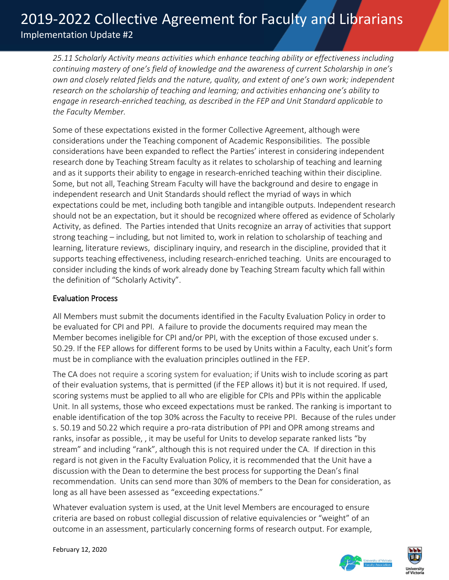*25.11 Scholarly Activity means activities which enhance teaching ability or effectiveness including continuing mastery of one's field of knowledge and the awareness of current Scholarship in one's own and closely related fields and the nature, quality, and extent of one's own work; independent research on the scholarship of teaching and learning; and activities enhancing one's ability to engage in research-enriched teaching, as described in the FEP and Unit Standard applicable to the Faculty Member.*

Some of these expectations existed in the former Collective Agreement, although were considerations under the Teaching component of Academic Responsibilities. The possible considerations have been expanded to reflect the Parties' interest in considering independent research done by Teaching Stream faculty as it relates to scholarship of teaching and learning and as it supports their ability to engage in research-enriched teaching within their discipline. Some, but not all, Teaching Stream Faculty will have the background and desire to engage in independent research and Unit Standards should reflect the myriad of ways in which expectations could be met, including both tangible and intangible outputs. Independent research should not be an expectation, but it should be recognized where offered as evidence of Scholarly Activity, as defined. The Parties intended that Units recognize an array of activities that support strong teaching – including, but not limited to, work in relation to scholarship of teaching and learning, literature reviews, disciplinary inquiry, and research in the discipline, provided that it supports teaching effectiveness, including research-enriched teaching. Units are encouraged to consider including the kinds of work already done by Teaching Stream faculty which fall within the definition of "Scholarly Activity".

### Evaluation Process

All Members must submit the documents identified in the Faculty Evaluation Policy in order to be evaluated for CPI and PPI. A failure to provide the documents required may mean the Member becomes ineligible for CPI and/or PPI, with the exception of those excused under s. 50.29. If the FEP allows for different forms to be used by Units within a Faculty, each Unit's form must be in compliance with the evaluation principles outlined in the FEP.

The CA does not require a scoring system for evaluation; if Units wish to include scoring as part of their evaluation systems, that is permitted (if the FEP allows it) but it is not required. If used, scoring systems must be applied to all who are eligible for CPIs and PPIs within the applicable Unit. In all systems, those who exceed expectations must be ranked. The ranking is important to enable identification of the top 30% across the Faculty to receive PPI. Because of the rules under s. 50.19 and 50.22 which require a pro-rata distribution of PPI and OPR among streams and ranks, insofar as possible, , it may be useful for Units to develop separate ranked lists "by stream" and including "rank", although this is not required under the CA. If direction in this regard is not given in the Faculty Evaluation Policy, it is recommended that the Unit have a discussion with the Dean to determine the best process for supporting the Dean's final recommendation. Units can send more than 30% of members to the Dean for consideration, as long as all have been assessed as "exceeding expectations."

Whatever evaluation system is used, at the Unit level Members are encouraged to ensure criteria are based on robust collegial discussion of relative equivalencies or "weight" of an outcome in an assessment, particularly concerning forms of research output. For example,

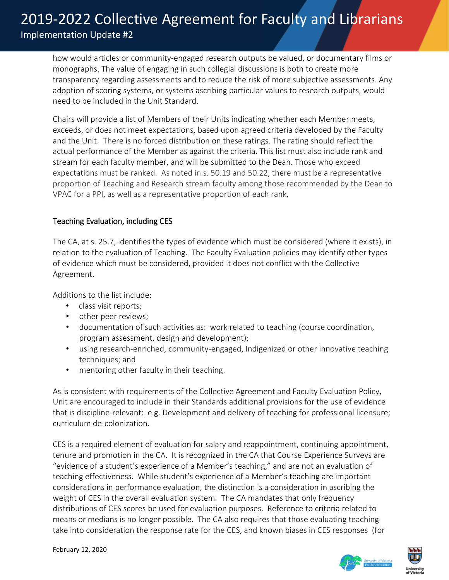how would articles or community-engaged research outputs be valued, or documentary films or monographs. The value of engaging in such collegial discussions is both to create more transparency regarding assessments and to reduce the risk of more subjective assessments. Any adoption of scoring systems, or systems ascribing particular values to research outputs, would need to be included in the Unit Standard.

Chairs will provide a list of Members of their Units indicating whether each Member meets, exceeds, or does not meet expectations, based upon agreed criteria developed by the Faculty and the Unit. There is no forced distribution on these ratings. The rating should reflect the actual performance of the Member as against the criteria. This list must also include rank and stream for each faculty member, and will be submitted to the Dean. Those who exceed expectations must be ranked. As noted in s. 50.19 and 50.22, there must be a representative proportion of Teaching and Research stream faculty among those recommended by the Dean to VPAC for a PPI, as well as a representative proportion of each rank.

### Teaching Evaluation, including CES

The CA, at s. 25.7, identifies the types of evidence which must be considered (where it exists), in relation to the evaluation of Teaching. The Faculty Evaluation policies may identify other types of evidence which must be considered, provided it does not conflict with the Collective Agreement.

Additions to the list include:

- class visit reports;
- other peer reviews;
- documentation of such activities as: work related to teaching (course coordination, program assessment, design and development);
- using research-enriched, community-engaged, Indigenized or other innovative teaching techniques; and
- mentoring other faculty in their teaching.

As is consistent with requirements of the Collective Agreement and Faculty Evaluation Policy, Unit are encouraged to include in their Standards additional provisions for the use of evidence that is discipline-relevant: e.g. Development and delivery of teaching for professional licensure; curriculum de-colonization.

CES is a required element of evaluation for salary and reappointment, continuing appointment, tenure and promotion in the CA. It is recognized in the CA that Course Experience Surveys are "evidence of a student's experience of a Member's teaching," and are not an evaluation of teaching effectiveness. While student's experience of a Member's teaching are important considerations in performance evaluation, the distinction is a consideration in ascribing the weight of CES in the overall evaluation system. The CA mandates that only frequency distributions of CES scores be used for evaluation purposes. Reference to criteria related to means or medians is no longer possible. The CA also requires that those evaluating teaching take into consideration the response rate for the CES, and known biases in CES responses (for